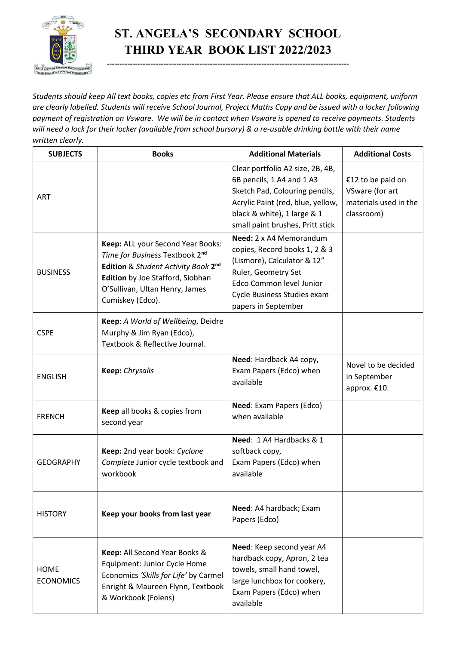

## **ST. ANGELA'S SECONDARY SCHOOL THIRD YEAR BOOK LIST 2022/2023**

**----------------------------------------------------------------------------------------------**

*Students should keep All text books, copies etc from First Year. Please ensure that ALL books, equipment, uniform are clearly labelled. Students will receive School Journal, Project Maths Copy and be issued with a locker following payment of registration on Vsware. We will be in contact when Vsware is opened to receive payments. Students will need a lock for their locker (available from school bursary) & a re-usable drinking bottle with their name written clearly.*

| <b>SUBJECTS</b>                 | <b>Books</b>                                                                                                                                                                                         | <b>Additional Materials</b>                                                                                                                                                                             | <b>Additional Costs</b>                                                     |
|---------------------------------|------------------------------------------------------------------------------------------------------------------------------------------------------------------------------------------------------|---------------------------------------------------------------------------------------------------------------------------------------------------------------------------------------------------------|-----------------------------------------------------------------------------|
| <b>ART</b>                      |                                                                                                                                                                                                      | Clear portfolio A2 size, 2B, 4B,<br>6B pencils, 1 A4 and 1 A3<br>Sketch Pad, Colouring pencils,<br>Acrylic Paint (red, blue, yellow,<br>black & white), 1 large & 1<br>small paint brushes, Pritt stick | €12 to be paid on<br>VSware (for art<br>materials used in the<br>classroom) |
| <b>BUSINESS</b>                 | Keep: ALL your Second Year Books:<br>Time for Business Textbook 2nd<br>Edition & Student Activity Book 2nd<br>Edition by Joe Stafford, Siobhan<br>O'Sullivan, Ultan Henry, James<br>Cumiskey (Edco). | Need: 2 x A4 Memorandum<br>copies, Record books 1, 2 & 3<br>(Lismore), Calculator & 12"<br>Ruler, Geometry Set<br>Edco Common level Junior<br>Cycle Business Studies exam<br>papers in September        |                                                                             |
| <b>CSPE</b>                     | Keep: A World of Wellbeing, Deidre<br>Murphy & Jim Ryan (Edco),<br>Textbook & Reflective Journal.                                                                                                    |                                                                                                                                                                                                         |                                                                             |
| <b>ENGLISH</b>                  | Keep: Chrysalis                                                                                                                                                                                      | Need: Hardback A4 copy,<br>Exam Papers (Edco) when<br>available                                                                                                                                         | Novel to be decided<br>in September<br>approx. €10.                         |
| <b>FRENCH</b>                   | Keep all books & copies from<br>second year                                                                                                                                                          | Need: Exam Papers (Edco)<br>when available                                                                                                                                                              |                                                                             |
| <b>GEOGRAPHY</b>                | Keep: 2nd year book: Cyclone<br>Complete Junior cycle textbook and<br>workbook                                                                                                                       | Need: 1 A4 Hardbacks & 1<br>softback copy,<br>Exam Papers (Edco) when<br>available                                                                                                                      |                                                                             |
| <b>HISTORY</b>                  | Keep your books from last year                                                                                                                                                                       | Need: A4 hardback; Exam<br>Papers (Edco)                                                                                                                                                                |                                                                             |
| <b>HOME</b><br><b>ECONOMICS</b> | Keep: All Second Year Books &<br>Equipment: Junior Cycle Home<br>Economics 'Skills for Life' by Carmel<br>Enright & Maureen Flynn, Textbook<br>& Workbook (Folens)                                   | Need: Keep second year A4<br>hardback copy, Apron, 2 tea<br>towels, small hand towel,<br>large lunchbox for cookery,<br>Exam Papers (Edco) when<br>available                                            |                                                                             |